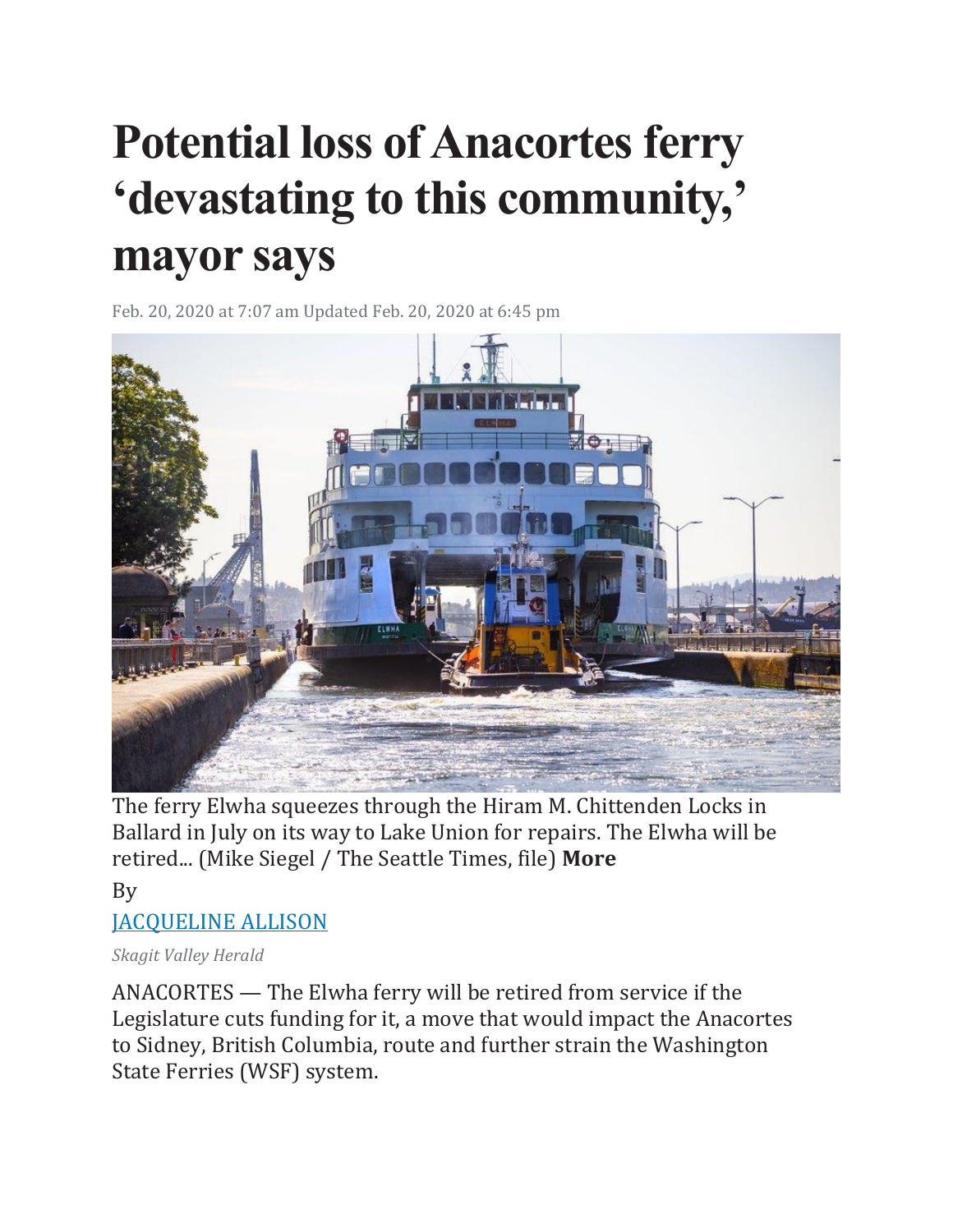## **Potential loss of Anacortes ferry 'devastating to this community,' mayor says**

Feb. 20, 2020 at 7:07 am Updated Feb. 20, 2020 at 6:45 pm



The ferry Elwha squeezes through the Hiram M. Chittenden Locks in Ballard in July on its way to Lake Union for repairs. The Elwha will be retired... (Mike Siegel / The Seattle Times, file) **More**

By [JACQUELINE ALLISON](https://www.seattletimes.com/author/jacqueline-allison/)

## *Skagit Valley Herald*

ANACORTES — The Elwha ferry will be retired from service if the Legislature cuts funding for it, a move that would impact the Anacortes to Sidney, British Columbia, route and further strain the Washington State Ferries (WSF) system.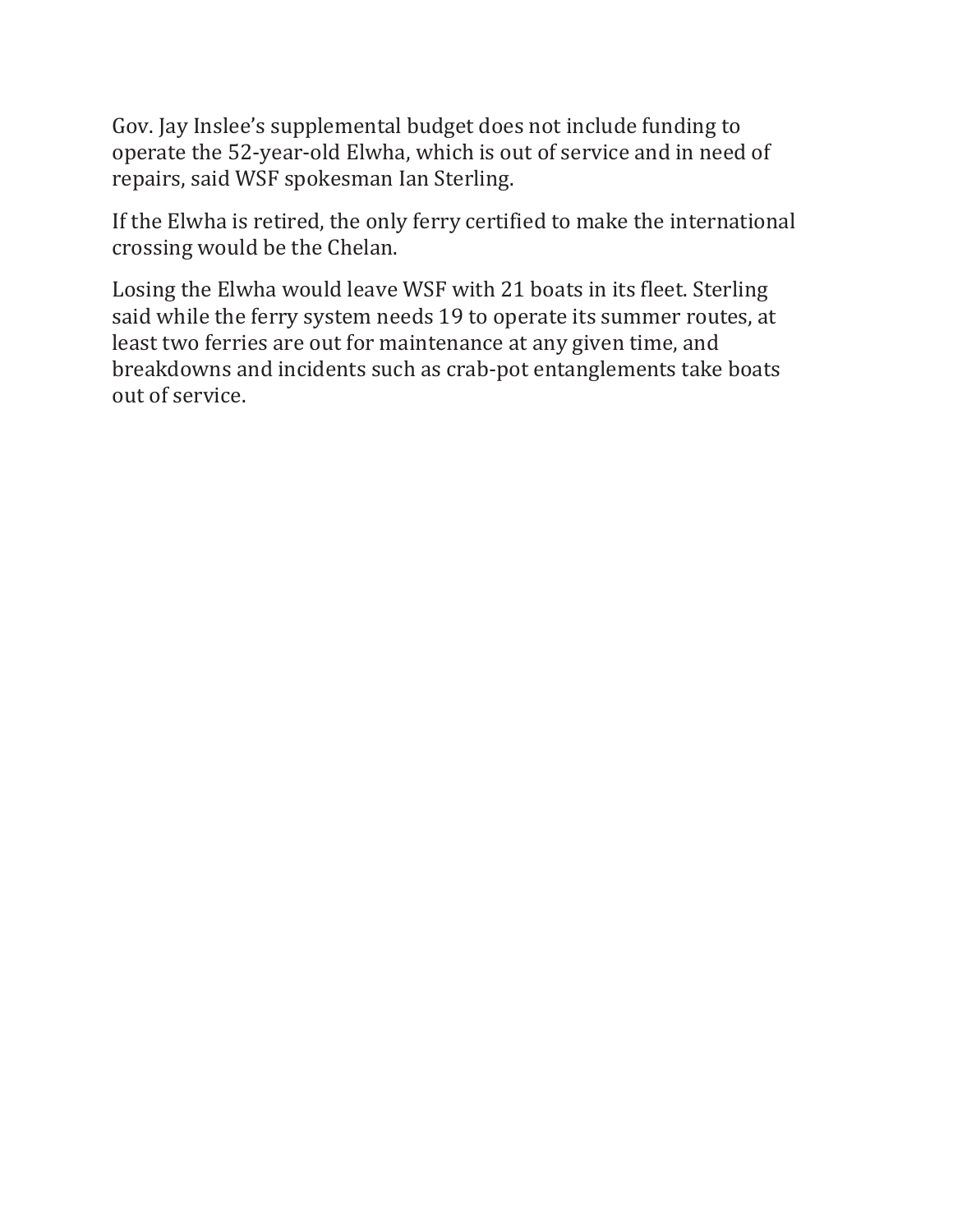Gov. Jay Inslee's supplemental budget does not include funding to operate the 52-year-old Elwha, which is out of service and in need of repairs, said WSF spokesman Ian Sterling.

If the Elwha is retired, the only ferry certified to make the international crossing would be the Chelan.

Losing the Elwha would leave WSF with 21 boats in its fleet. Sterling said while the ferry system needs 19 to operate its summer routes, at least two ferries are out for maintenance at any given time, and breakdowns and incidents such as crab-pot entanglements take boats out of service.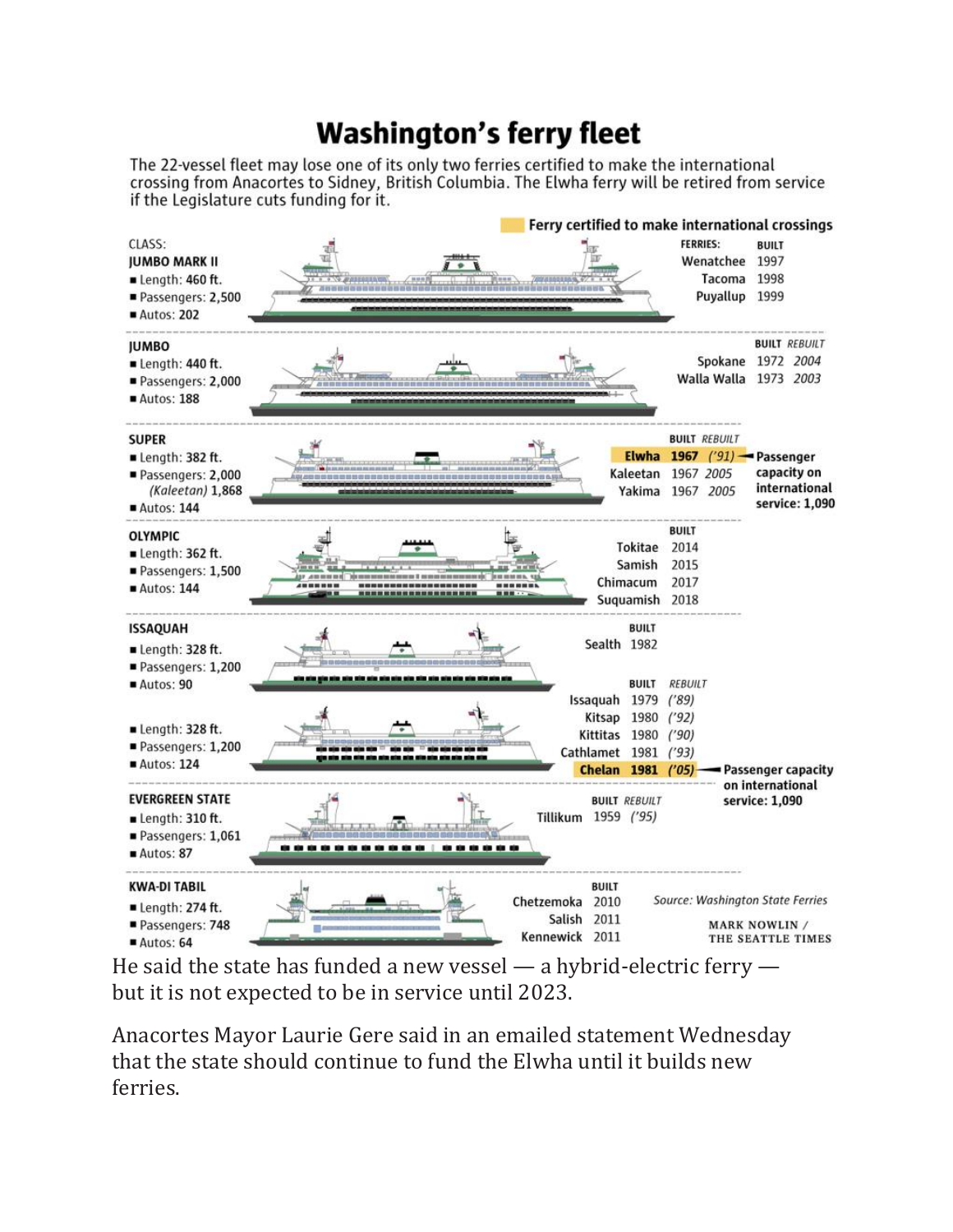## **Washington's ferry fleet**

The 22-vessel fleet may lose one of its only two ferries certified to make the international crossing from Anacortes to Sidney, British Columbia. The Elwha ferry will be retired from service if the Legislature cuts funding for it.



He said the state has funded a new vessel — a hybrid-electric ferry but it is not expected to be in service until 2023.

Anacortes Mayor Laurie Gere said in an emailed statement Wednesday that the state should continue to fund the Elwha until it builds new ferries.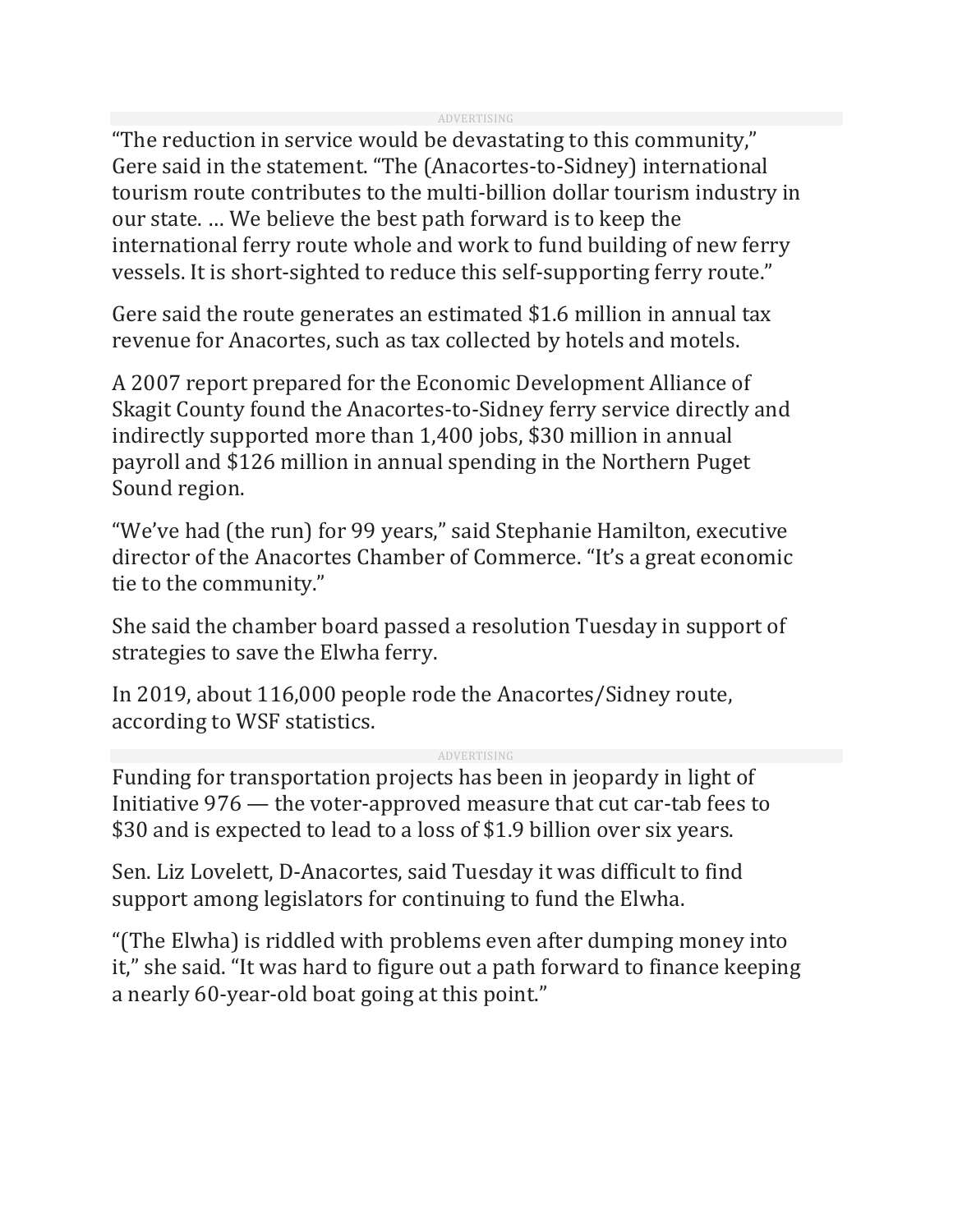"The reduction in service would be devastating to this community," Gere said in the statement. "The (Anacortes-to-Sidney) international tourism route contributes to the multi-billion dollar tourism industry in our state. … We believe the best path forward is to keep the international ferry route whole and work to fund building of new ferry vessels. It is short-sighted to reduce this self-supporting ferry route."

Gere said the route generates an estimated \$1.6 million in annual tax revenue for Anacortes, such as tax collected by hotels and motels.

A 2007 report prepared for the Economic Development Alliance of Skagit County found the Anacortes-to-Sidney ferry service directly and indirectly supported more than 1,400 jobs, \$30 million in annual payroll and \$126 million in annual spending in the Northern Puget Sound region.

"We've had (the run) for 99 years," said Stephanie Hamilton, executive director of the Anacortes Chamber of Commerce. "It's a great economic tie to the community."

She said the chamber board passed a resolution Tuesday in support of strategies to save the Elwha ferry.

In 2019, about 116,000 people rode the Anacortes/Sidney route, according to WSF statistics.

ADVERTISING

Funding for transportation projects has been in jeopardy in light of Initiative 976 — the voter-approved measure that cut car-tab fees to \$30 and is expected to lead to a loss of \$1.9 billion over six years.

Sen. Liz Lovelett, D-Anacortes, said Tuesday it was difficult to find support among legislators for continuing to fund the Elwha.

"(The Elwha) is riddled with problems even after dumping money into it," she said. "It was hard to figure out a path forward to finance keeping a nearly 60-year-old boat going at this point."